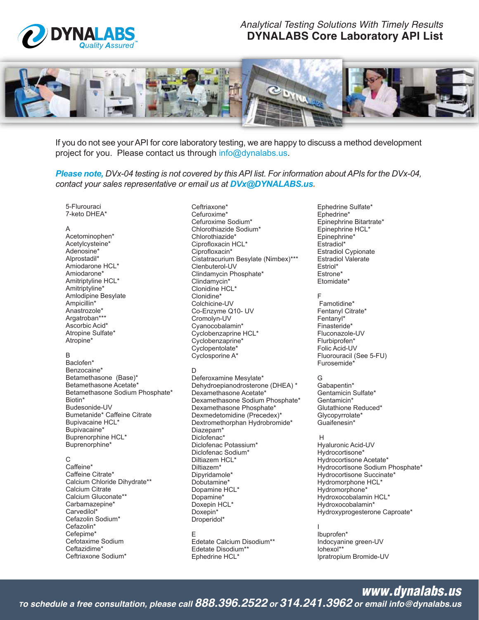

# **Analytical Testing Solutions With Timely Results DYNALABS Core Laboratory API List**



If you do not see your API for core laboratory testing, we are happy to discuss a method development project for you. Please contact us through info@dynalabs.us.

Please note, DVx-04 testing is not covered by this API list. For information about APIs for the DVx-04, contact your sales representative or email us at DVx@DYNALABS.us.

5-Flurouraci 7-keto DHEA\*

#### A

Acetominophen\* Acetylcysteine\* Adenosine\* Alprostadil\* Amiodarone HCL\* Amiodarone\* Amitriptyline HCL\* Amitriptyline\* Amlodipine Besylate Ampicillin\* Anastrozole\* Argatroban\*\*\* Ascorbic Acid\* Atropine Sulfate\* Atropine\*

# <sub>R</sub>

Baclofen\* Benzocaine\* Betamethasone (Base)\* Betamethasone Acetate\* Betamethasone Sodium Phosphate\* Biotin\* Budesonide-UV Bumetanide\* Caffeine Citrate Bupivacaine HCL\* Bupivacaine\* Buprenorphine HCL\* Buprenorphine\*

#### $\mathsf{C}$

Caffeine\* Caffeine Citrate\* Calcium Chloride Dihydrate\*\* Calcium Citrate Calcium Gluconate\*\* Carbamazepine\* Carvedilol\* Cefazolin Sodium\* Cefazolin\* Cefepime\* Cefotaxime Sodium Ceftazidime\* Ceftriaxone Sodium\*

Ceftriaxone\* Cefuroxime\* Cefuroxime Sodium\* Chlorothiazide Sodium\* Chlorothiazide\* Ciprofloxacin HCL\* Ciprofloxacin\* Cistatracurium Besylate (Nimbex)\*\*\* Clenbuterol-UV Clindamycin Phosphate\* Clindamycin\* Clonidine HCL\* Clonidine\* Colchicine-UV Co-Enzyme Q10- UV Cromolyn-UV Cyanocobalamin\* Cyclobenzaprine HCL\* Cyclobenzaprine\* Cyclopentolate\* Cyclosporine A\*

# D

Deferoxamine Mesylate\* Dehydroepianodrosterone (DHEA) \* Dexamethasone Acetate\* Dexamethasone Sodium Phosphate\* Dexamethasone Phosphate\* Dexmedetomidine (Precedex)\* Dextromethorphan Hydrobromide\* Diazepam\* Diclofenac\* Diclofenac Potassium\* Diclofenac Sodium\* Diltiazem HCL\* Diltiazem\* Dipyridamole\* Dobutamine\* Dopamine HCL\* Dopamine\* Doxepin HCL\* Doxepin\* Droperidol\*

E Edetate Calcium Disodium\*\* **Edetate Disodium\*\*** Ephedrine HCL\*

Ephedrine Sulfate\* Ephedrine\* Epinephrine Bitartrate\* Epinephrine HCL\* Epinephrine\* Estradiol\* **Estradiol Cypionate** Estradiol Valerate Estriol\* Estrone\* Etomidate\*

#### F

Famotidine\* Fentanyl Citrate\* Fentanyl\* Finasteride\* Fluconazole-UV Flurbiprofen\* Folic Acid-UV Fluorouracil (See 5-FU) Furosemide\*

# G

Gabapentin\* Gentamicin Sulfate\* Gentamicin\* Glutathione Reduced\* Glycopyrrolate\* Guaifenesin\*

### $\overline{H}$

Hyaluronic Acid-UV Hydrocortisone\* Hydrocortisone Acetate\* Hydrocortisone Sodium Phosphate\* Hydrocortisone Succinate\* Hydromorphone HCL\* Hydromorphone\* Hydroxocobalamin HCL\* Hydroxocobalamin\* Hydroxyprogesterone Caproate\*

Ibuprofen\* Indocyanine green-UV lohexol\*\* Ipratropium Bromide-UV

To schedule a free consultation, please call  $888.396.2522$  or  $314.241.3962$  or email info@dynalabs.us